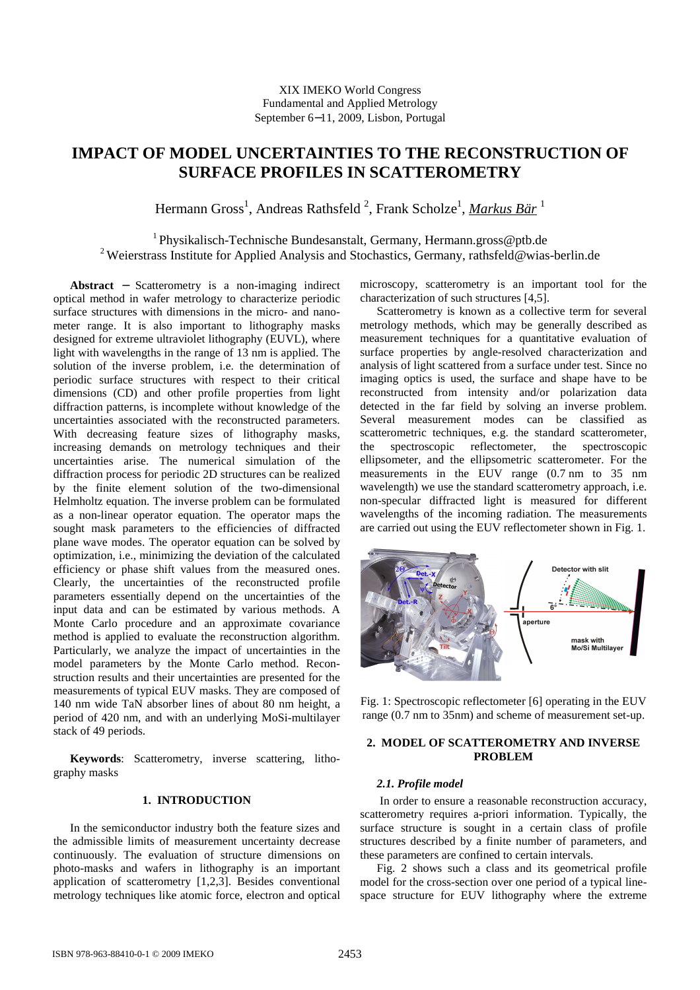# **IMPACT OF MODEL UNCERTAINTIES TO THE RECONSTRUCTION OF SURFACE PROFILES IN SCATTEROMETRY**

Hermann Gross<sup>1</sup>, Andreas Rathsfeld <sup>2</sup>, Frank Scholze<sup>1</sup>, <u>Markus Bär</u> <sup>1</sup>

<sup>1</sup> Physikalisch-Technische Bundesanstalt, Germany, Hermann.gross@ptb.de <sup>2</sup> Weierstrass Institute for Applied Analysis and Stochastics, Germany, rathsfeld@wias-berlin.de

**Abstract** − Scatterometry is a non-imaging indirect optical method in wafer metrology to characterize periodic surface structures with dimensions in the micro- and nanometer range. It is also important to lithography masks designed for extreme ultraviolet lithography (EUVL), where light with wavelengths in the range of 13 nm is applied. The solution of the inverse problem, i.e. the determination of periodic surface structures with respect to their critical dimensions (CD) and other profile properties from light diffraction patterns, is incomplete without knowledge of the uncertainties associated with the reconstructed parameters. With decreasing feature sizes of lithography masks, increasing demands on metrology techniques and their uncertainties arise. The numerical simulation of the diffraction process for periodic 2D structures can be realized by the finite element solution of the two-dimensional Helmholtz equation. The inverse problem can be formulated as a non-linear operator equation. The operator maps the sought mask parameters to the efficiencies of diffracted plane wave modes. The operator equation can be solved by optimization, i.e., minimizing the deviation of the calculated efficiency or phase shift values from the measured ones. Clearly, the uncertainties of the reconstructed profile parameters essentially depend on the uncertainties of the input data and can be estimated by various methods. A Monte Carlo procedure and an approximate covariance method is applied to evaluate the reconstruction algorithm. Particularly, we analyze the impact of uncertainties in the model parameters by the Monte Carlo method. Reconstruction results and their uncertainties are presented for the measurements of typical EUV masks. They are composed of 140 nm wide TaN absorber lines of about 80 nm height, a period of 420 nm, and with an underlying MoSi-multilayer stack of 49 periods.

**Keywords**: Scatterometry, inverse scattering, lithography masks

# **1. INTRODUCTION**

In the semiconductor industry both the feature sizes and the admissible limits of measurement uncertainty decrease continuously. The evaluation of structure dimensions on photo-masks and wafers in lithography is an important application of scatterometry [1,2,3]. Besides conventional metrology techniques like atomic force, electron and optical microscopy, scatterometry is an important tool for the characterization of such structures [4,5].

Scatterometry is known as a collective term for several metrology methods, which may be generally described as measurement techniques for a quantitative evaluation of surface properties by angle-resolved characterization and analysis of light scattered from a surface under test. Since no imaging optics is used, the surface and shape have to be reconstructed from intensity and/or polarization data detected in the far field by solving an inverse problem. Several measurement modes can be classified as scatterometric techniques, e.g. the standard scatterometer, the spectroscopic reflectometer, the spectroscopic ellipsometer, and the ellipsometric scatterometer. For the measurements in the EUV range (0.7 nm to 35 nm wavelength) we use the standard scatterometry approach, i.e. non-specular diffracted light is measured for different wavelengths of the incoming radiation. The measurements are carried out using the EUV reflectometer shown in Fig. 1.



Fig. 1: Spectroscopic reflectometer [6] operating in the EUV range (0.7 nm to 35nm) and scheme of measurement set-up.

# **2. MODEL OF SCATTEROMETRY AND INVERSE PROBLEM**

## *2.1. Profile model*

 In order to ensure a reasonable reconstruction accuracy, scatterometry requires a-priori information. Typically, the surface structure is sought in a certain class of profile structures described by a finite number of parameters, and these parameters are confined to certain intervals.

Fig. 2 shows such a class and its geometrical profile model for the cross-section over one period of a typical linespace structure for EUV lithography where the extreme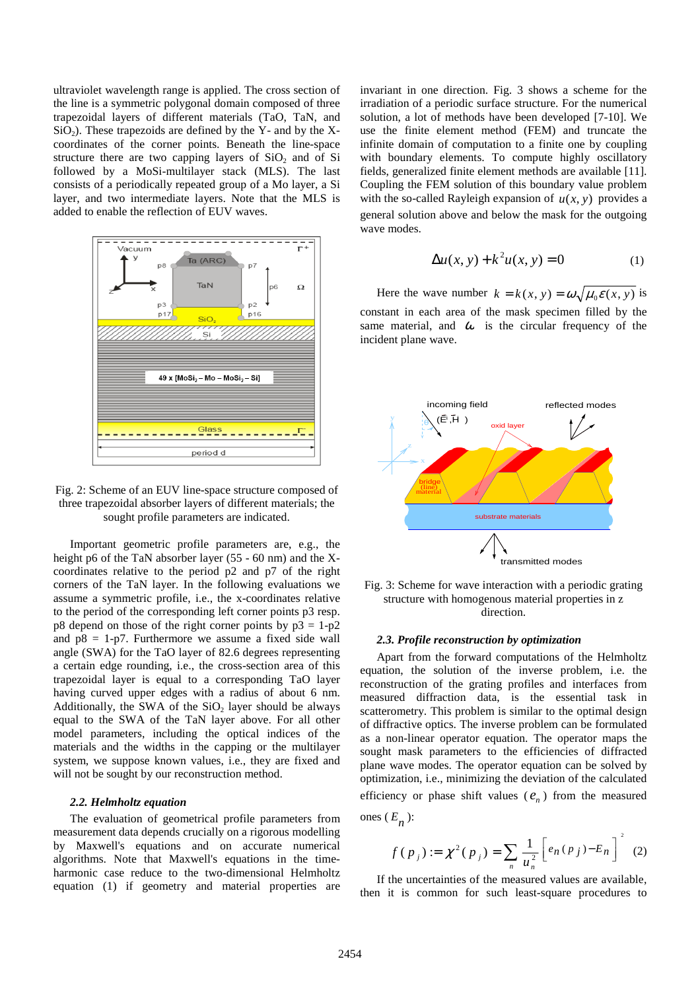ultraviolet wavelength range is applied. The cross section of the line is a symmetric polygonal domain composed of three trapezoidal layers of different materials (TaO, TaN, and  $SiO<sub>2</sub>$ ). These trapezoids are defined by the Y- and by the Xcoordinates of the corner points. Beneath the line-space structure there are two capping layers of  $SiO<sub>2</sub>$  and of Si followed by a MoSi-multilayer stack (MLS). The last consists of a periodically repeated group of a Mo layer, a Si layer, and two intermediate layers. Note that the MLS is added to enable the reflection of EUV waves.



Fig. 2: Scheme of an EUV line-space structure composed of three trapezoidal absorber layers of different materials; the sought profile parameters are indicated.

Important geometric profile parameters are, e.g., the height p6 of the TaN absorber layer (55 - 60 nm) and the Xcoordinates relative to the period p2 and p7 of the right corners of the TaN layer. In the following evaluations we assume a symmetric profile, i.e., the x-coordinates relative to the period of the corresponding left corner points p3 resp.  $p8$  depend on those of the right corner points by  $p3 = 1-p2$ and  $p8 = 1-p7$ . Furthermore we assume a fixed side wall angle (SWA) for the TaO layer of 82.6 degrees representing a certain edge rounding, i.e., the cross-section area of this trapezoidal layer is equal to a corresponding TaO layer having curved upper edges with a radius of about 6 nm. Additionally, the SWA of the  $SiO<sub>2</sub>$  layer should be always equal to the SWA of the TaN layer above. For all other model parameters, including the optical indices of the materials and the widths in the capping or the multilayer system, we suppose known values, i.e., they are fixed and will not be sought by our reconstruction method.

### *2.2. Helmholtz equation*

The evaluation of geometrical profile parameters from measurement data depends crucially on a rigorous modelling by Maxwell's equations and on accurate numerical algorithms. Note that Maxwell's equations in the timeharmonic case reduce to the two-dimensional Helmholtz equation (1) if geometry and material properties are invariant in one direction. Fig. 3 shows a scheme for the irradiation of a periodic surface structure. For the numerical solution, a lot of methods have been developed [7-10]. We use the finite element method (FEM) and truncate the infinite domain of computation to a finite one by coupling with boundary elements. To compute highly oscillatory fields, generalized finite element methods are available [11]. Coupling the FEM solution of this boundary value problem with the so-called Rayleigh expansion of  $u(x, y)$  provides a general solution above and below the mask for the outgoing wave modes.

$$
\Delta u(x, y) + k^2 u(x, y) = 0 \tag{1}
$$

Here the wave number  $k = k(x, y) = \omega \sqrt{\mu_0 \varepsilon(x, y)}$  is constant in each area of the mask specimen filled by the same material, and  $\omega$  is the circular frequency of the incident plane wave.



Fig. 3: Scheme for wave interaction with a periodic grating structure with homogenous material properties in z direction.

#### *2.3. Profile reconstruction by optimization*

Apart from the forward computations of the Helmholtz equation, the solution of the inverse problem, i.e. the reconstruction of the grating profiles and interfaces from measured diffraction data, is the essential task in scatterometry. This problem is similar to the optimal design of diffractive optics. The inverse problem can be formulated as a non-linear operator equation. The operator maps the sought mask parameters to the efficiencies of diffracted plane wave modes. The operator equation can be solved by optimization, i.e., minimizing the deviation of the calculated efficiency or phase shift values  $(e_n)$  from the measured

ones  $(E_n)$ :

$$
f(p_j) := \chi^2(p_j) = \sum_{n} \frac{1}{u_n^2} \left[ e_n(p_j) - E_n \right]^2 \tag{2}
$$

If the uncertainties of the measured values are available, then it is common for such least-square procedures to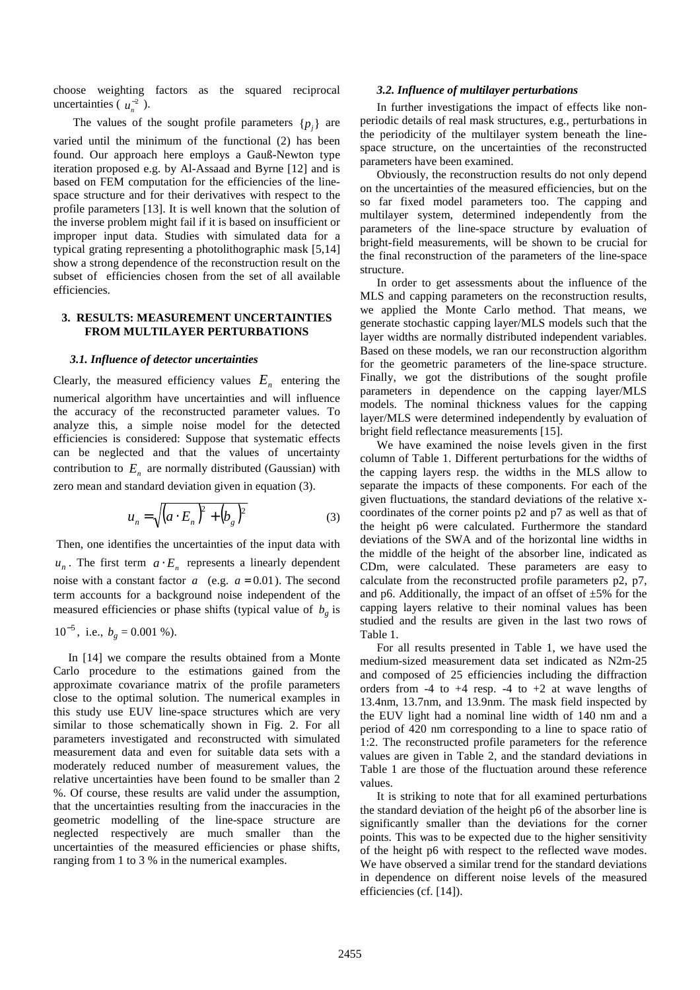choose weighting factors as the squared reciprocal uncertainties ( $u_n^{-2}$ ).

The values of the sought profile parameters  $\{p_j\}$  are varied until the minimum of the functional (2) has been found. Our approach here employs a Gauß-Newton type iteration proposed e.g. by Al-Assaad and Byrne [12] and is based on FEM computation for the efficiencies of the linespace structure and for their derivatives with respect to the profile parameters [13]. It is well known that the solution of the inverse problem might fail if it is based on insufficient or improper input data. Studies with simulated data for a typical grating representing a photolithographic mask [5,14] show a strong dependence of the reconstruction result on the subset of efficiencies chosen from the set of all available efficiencies.

# **3. RESULTS: MEASUREMENT UNCERTAINTIES FROM MULTILAYER PERTURBATIONS**

## *3.1. Influence of detector uncertainties*

Clearly, the measured efficiency values  $E_n$  entering the numerical algorithm have uncertainties and will influence the accuracy of the reconstructed parameter values. To analyze this, a simple noise model for the detected efficiencies is considered: Suppose that systematic effects can be neglected and that the values of uncertainty contribution to  $E<sub>n</sub>$  are normally distributed (Gaussian) with zero mean and standard deviation given in equation (3).

$$
u_n = \sqrt{\left(a \cdot E_n\right)^2 + \left(b_g\right)^2} \tag{3}
$$

 Then, one identifies the uncertainties of the input data with  $u_n$ . The first term  $a \cdot E_n$  represents a linearly dependent noise with a constant factor  $a \quad (e.g. \quad a = 0.01)$ . The second term accounts for a background noise independent of the measured efficiencies or phase shifts (typical value of *b<sup>g</sup>* is

 $10^{-5}$ , i.e.,  $b_g = 0.001$  %).

 In [14] we compare the results obtained from a Monte Carlo procedure to the estimations gained from the approximate covariance matrix of the profile parameters close to the optimal solution. The numerical examples in this study use EUV line-space structures which are very similar to those schematically shown in Fig. 2. For all parameters investigated and reconstructed with simulated measurement data and even for suitable data sets with a moderately reduced number of measurement values, the relative uncertainties have been found to be smaller than 2 %. Of course, these results are valid under the assumption, that the uncertainties resulting from the inaccuracies in the geometric modelling of the line-space structure are neglected respectively are much smaller than the uncertainties of the measured efficiencies or phase shifts, ranging from 1 to 3 % in the numerical examples.

#### *3.2. Influence of multilayer perturbations*

In further investigations the impact of effects like nonperiodic details of real mask structures, e.g., perturbations in the periodicity of the multilayer system beneath the linespace structure, on the uncertainties of the reconstructed parameters have been examined.

Obviously, the reconstruction results do not only depend on the uncertainties of the measured efficiencies, but on the so far fixed model parameters too. The capping and multilayer system, determined independently from the parameters of the line-space structure by evaluation of bright-field measurements, will be shown to be crucial for the final reconstruction of the parameters of the line-space structure.

In order to get assessments about the influence of the MLS and capping parameters on the reconstruction results, we applied the Monte Carlo method. That means, we generate stochastic capping layer/MLS models such that the layer widths are normally distributed independent variables. Based on these models, we ran our reconstruction algorithm for the geometric parameters of the line-space structure. Finally, we got the distributions of the sought profile parameters in dependence on the capping layer/MLS models. The nominal thickness values for the capping layer/MLS were determined independently by evaluation of bright field reflectance measurements [15].

We have examined the noise levels given in the first column of Table 1. Different perturbations for the widths of the capping layers resp. the widths in the MLS allow to separate the impacts of these components. For each of the given fluctuations, the standard deviations of the relative xcoordinates of the corner points p2 and p7 as well as that of the height p6 were calculated. Furthermore the standard deviations of the SWA and of the horizontal line widths in the middle of the height of the absorber line, indicated as CDm, were calculated. These parameters are easy to calculate from the reconstructed profile parameters p2, p7, and p6. Additionally, the impact of an offset of  $\pm 5\%$  for the capping layers relative to their nominal values has been studied and the results are given in the last two rows of Table 1.

For all results presented in Table 1, we have used the medium-sized measurement data set indicated as N2m-25 and composed of 25 efficiencies including the diffraction orders from  $-4$  to  $+4$  resp.  $-4$  to  $+2$  at wave lengths of 13.4nm, 13.7nm, and 13.9nm. The mask field inspected by the EUV light had a nominal line width of 140 nm and a period of 420 nm corresponding to a line to space ratio of 1:2. The reconstructed profile parameters for the reference values are given in Table 2, and the standard deviations in Table 1 are those of the fluctuation around these reference values.

It is striking to note that for all examined perturbations the standard deviation of the height p6 of the absorber line is significantly smaller than the deviations for the corner points. This was to be expected due to the higher sensitivity of the height p6 with respect to the reflected wave modes. We have observed a similar trend for the standard deviations in dependence on different noise levels of the measured efficiencies (cf. [14]).